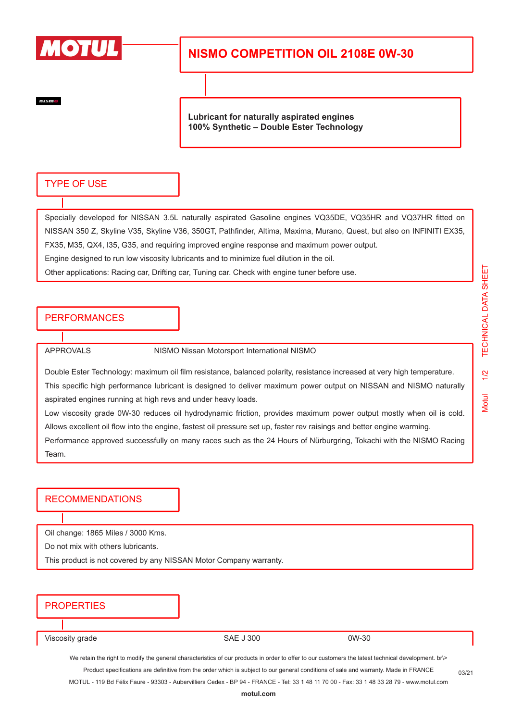

# **NISMO COMPETITION OIL 2108E 0W-30**

 $nism$ 

**Lubricant for naturally aspirated engines 100% Synthetic – Double Ester Technology**

#### TYPE OF USE

Specially developed for NISSAN 3.5L naturally aspirated Gasoline engines VQ35DE, VQ35HR and VQ37HR fitted on NISSAN 350 Z, Skyline V35, Skyline V36, 350GT, Pathfinder, Altima, Maxima, Murano, Quest, but also on INFINITI EX35, FX35, M35, QX4, I35, G35, and requiring improved engine response and maximum power output. Engine designed to run low viscosity lubricants and to minimize fuel dilution in the oil.

Other applications: Racing car, Drifting car, Tuning car. Check with engine tuner before use.

## PERFORMANCES

APPROVALS NISMO Nissan Motorsport International NISMO

Double Ester Technology: maximum oil film resistance, balanced polarity, resistance increased at very high temperature. This specific high performance lubricant is designed to deliver maximum power output on NISSAN and NISMO naturally aspirated engines running at high revs and under heavy loads.

Low viscosity grade 0W-30 reduces oil hydrodynamic friction, provides maximum power output mostly when oil is cold. Allows excellent oil flow into the engine, fastest oil pressure set up, faster rev raisings and better engine warming.

Performance approved successfully on many races such as the 24 Hours of Nürburgring, Tokachi with the NISMO Racing Team.

### RECOMMENDATIONS

Oil change: 1865 Miles / 3000 Kms.

Do not mix with others lubricants.

This product is not covered by any NISSAN Motor Company warranty.

## **PROPERTIES**

Viscosity grade 6 and 1 300 0W-30 0W-30

We retain the right to modify the general characteristics of our products in order to offer to our customers the latest technical development. br\> Product specifications are definitive from the order which is subject to our general conditions of sale and warranty. Made in FRANCE

MOTUL - 119 Bd Félix Faure - 93303 - Aubervilliers Cedex - BP 94 - FRANCE - Tel: 33 1 48 11 70 00 - Fax: 33 1 48 33 28 79 - www.motul.com

03/21